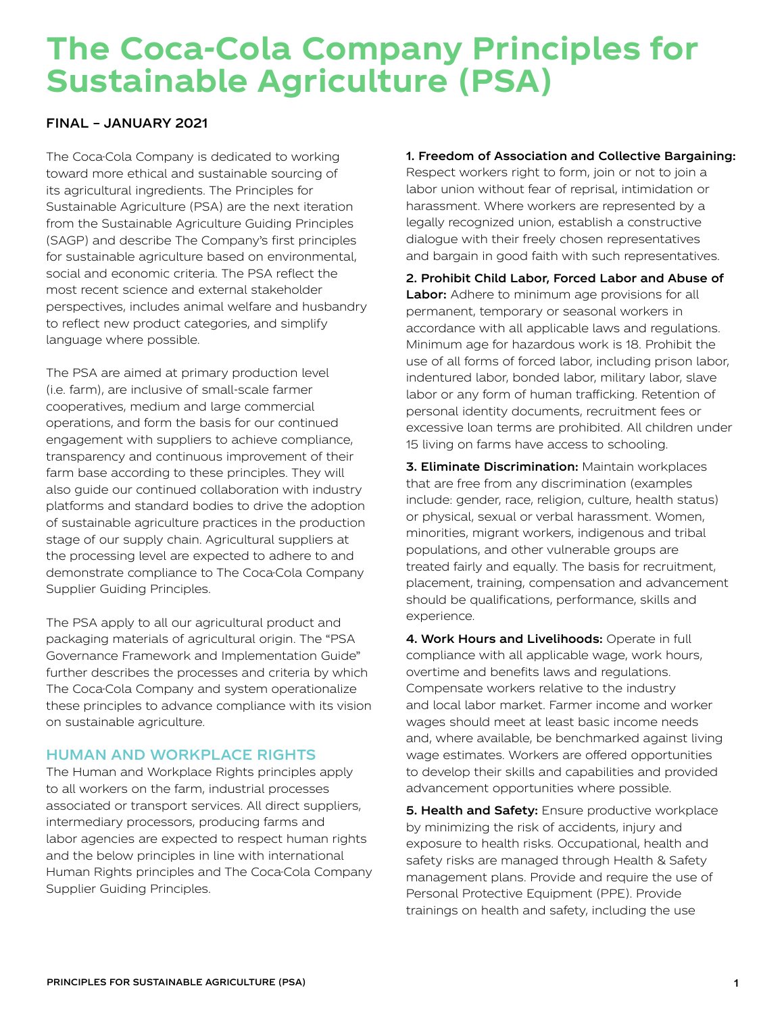# **The Coca-Cola Company Principles for Sustainable Agriculture (PSA)**

#### FINAL – JANUARY 2021

The Coca-Cola Company is dedicated to working toward more ethical and sustainable sourcing of its agricultural ingredients. The Principles for Sustainable Agriculture (PSA) are the next iteration from the Sustainable Agriculture Guiding Principles (SAGP) and describe The Company's first principles for sustainable agriculture based on environmental, social and economic criteria. The PSA reflect the most recent science and external stakeholder perspectives, includes animal welfare and husbandry to reflect new product categories, and simplify language where possible.

The PSA are aimed at primary production level (i.e. farm), are inclusive of small-scale farmer cooperatives, medium and large commercial operations, and form the basis for our continued engagement with suppliers to achieve compliance, transparency and continuous improvement of their farm base according to these principles. They will also guide our continued collaboration with industry platforms and standard bodies to drive the adoption of sustainable agriculture practices in the production stage of our supply chain. Agricultural suppliers at the processing level are expected to adhere to and demonstrate compliance to The Coca-Cola Company Supplier Guiding Principles.

The PSA apply to all our agricultural product and packaging materials of agricultural origin. The "PSA Governance Framework and Implementation Guide" further describes the processes and criteria by which The Coca-Cola Company and system operationalize these principles to advance compliance with its vision on sustainable agriculture.

## HUMAN AND WORKPLACE RIGHTS

The Human and Workplace Rights principles apply to all workers on the farm, industrial processes associated or transport services. All direct suppliers, intermediary processors, producing farms and labor agencies are expected to respect human rights and the below principles in line with international Human Rights principles and The Coca-Cola Company Supplier Guiding Principles.

#### 1. Freedom of Association and Collective Bargaining:

Respect workers right to form, join or not to join a labor union without fear of reprisal, intimidation or harassment. Where workers are represented by a legally recognized union, establish a constructive dialogue with their freely chosen representatives and bargain in good faith with such representatives.

2. Prohibit Child Labor, Forced Labor and Abuse of Labor: Adhere to minimum age provisions for all permanent, temporary or seasonal workers in accordance with all applicable laws and regulations. Minimum age for hazardous work is 18. Prohibit the use of all forms of forced labor, including prison labor, indentured labor, bonded labor, military labor, slave labor or any form of human trafficking. Retention of personal identity documents, recruitment fees or excessive loan terms are prohibited. All children under 15 living on farms have access to schooling.

3. Eliminate Discrimination: Maintain workplaces that are free from any discrimination (examples include: gender, race, religion, culture, health status) or physical, sexual or verbal harassment. Women, minorities, migrant workers, indigenous and tribal populations, and other vulnerable groups are treated fairly and equally. The basis for recruitment, placement, training, compensation and advancement should be qualifications, performance, skills and experience.

4. Work Hours and Livelihoods: Operate in full compliance with all applicable wage, work hours, overtime and benefits laws and regulations. Compensate workers relative to the industry and local labor market. Farmer income and worker wages should meet at least basic income needs and, where available, be benchmarked against living wage estimates. Workers are offered opportunities to develop their skills and capabilities and provided advancement opportunities where possible.

5. Health and Safety: Ensure productive workplace by minimizing the risk of accidents, injury and exposure to health risks. Occupational, health and safety risks are managed through Health & Safety management plans. Provide and require the use of Personal Protective Equipment (PPE). Provide trainings on health and safety, including the use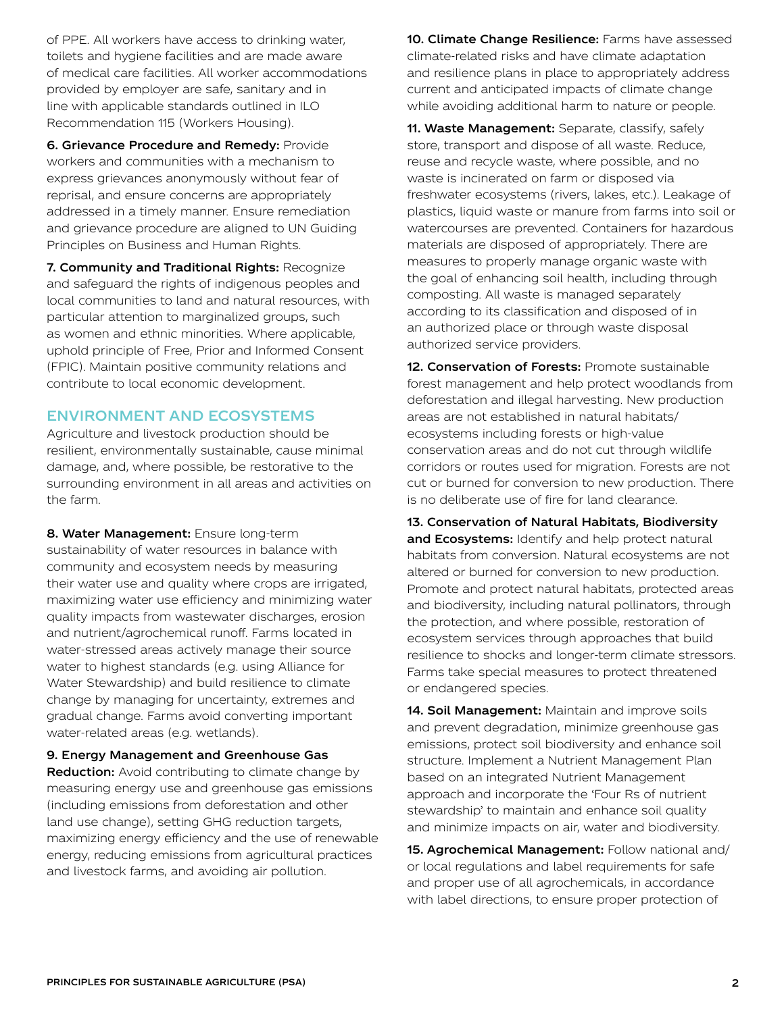of PPE. All workers have access to drinking water, toilets and hygiene facilities and are made aware of medical care facilities. All worker accommodations provided by employer are safe, sanitary and in line with applicable standards outlined in ILO Recommendation 115 (Workers Housing).

6. Grievance Procedure and Remedy: Provide workers and communities with a mechanism to express grievances anonymously without fear of reprisal, and ensure concerns are appropriately addressed in a timely manner. Ensure remediation and grievance procedure are aligned to UN Guiding Principles on Business and Human Rights.

7. Community and Traditional Rights: Recognize and safeguard the rights of indigenous peoples and local communities to land and natural resources, with particular attention to marginalized groups, such as women and ethnic minorities. Where applicable, uphold principle of Free, Prior and Informed Consent (FPIC). Maintain positive community relations and contribute to local economic development.

### ENVIRONMENT AND ECOSYSTEMS

Agriculture and livestock production should be resilient, environmentally sustainable, cause minimal damage, and, where possible, be restorative to the surrounding environment in all areas and activities on the farm.

8. Water Management: Ensure long-term sustainability of water resources in balance with community and ecosystem needs by measuring their water use and quality where crops are irrigated, maximizing water use efficiency and minimizing water quality impacts from wastewater discharges, erosion and nutrient/agrochemical runoff. Farms located in water-stressed areas actively manage their source water to highest standards (e.g. using Alliance for Water Stewardship) and build resilience to climate change by managing for uncertainty, extremes and gradual change. Farms avoid converting important water-related areas (e.g. wetlands).

9. Energy Management and Greenhouse Gas **Reduction:** Avoid contributing to climate change by measuring energy use and greenhouse gas emissions (including emissions from deforestation and other land use change), setting GHG reduction targets, maximizing energy efficiency and the use of renewable energy, reducing emissions from agricultural practices and livestock farms, and avoiding air pollution.

10. Climate Change Resilience: Farms have assessed climate-related risks and have climate adaptation and resilience plans in place to appropriately address current and anticipated impacts of climate change while avoiding additional harm to nature or people.

11. Waste Management: Separate, classify, safely store, transport and dispose of all waste. Reduce, reuse and recycle waste, where possible, and no waste is incinerated on farm or disposed via freshwater ecosystems (rivers, lakes, etc.). Leakage of plastics, liquid waste or manure from farms into soil or watercourses are prevented. Containers for hazardous materials are disposed of appropriately. There are measures to properly manage organic waste with the goal of enhancing soil health, including through composting. All waste is managed separately according to its classification and disposed of in an authorized place or through waste disposal authorized service providers.

12. Conservation of Forests: Promote sustainable forest management and help protect woodlands from deforestation and illegal harvesting. New production areas are not established in natural habitats/ ecosystems including forests or high-value conservation areas and do not cut through wildlife corridors or routes used for migration. Forests are not cut or burned for conversion to new production. There is no deliberate use of fire for land clearance.

13. Conservation of Natural Habitats, Biodiversity and Ecosystems: Identify and help protect natural habitats from conversion. Natural ecosystems are not altered or burned for conversion to new production. Promote and protect natural habitats, protected areas and biodiversity, including natural pollinators, through the protection, and where possible, restoration of ecosystem services through approaches that build resilience to shocks and longer-term climate stressors. Farms take special measures to protect threatened or endangered species.

14. Soil Management: Maintain and improve soils and prevent degradation, minimize greenhouse gas emissions, protect soil biodiversity and enhance soil structure. Implement a Nutrient Management Plan based on an integrated Nutrient Management approach and incorporate the 'Four Rs of nutrient stewardship' to maintain and enhance soil quality and minimize impacts on air, water and biodiversity.

15. Agrochemical Management: Follow national and/ or local regulations and label requirements for safe and proper use of all agrochemicals, in accordance with label directions, to ensure proper protection of